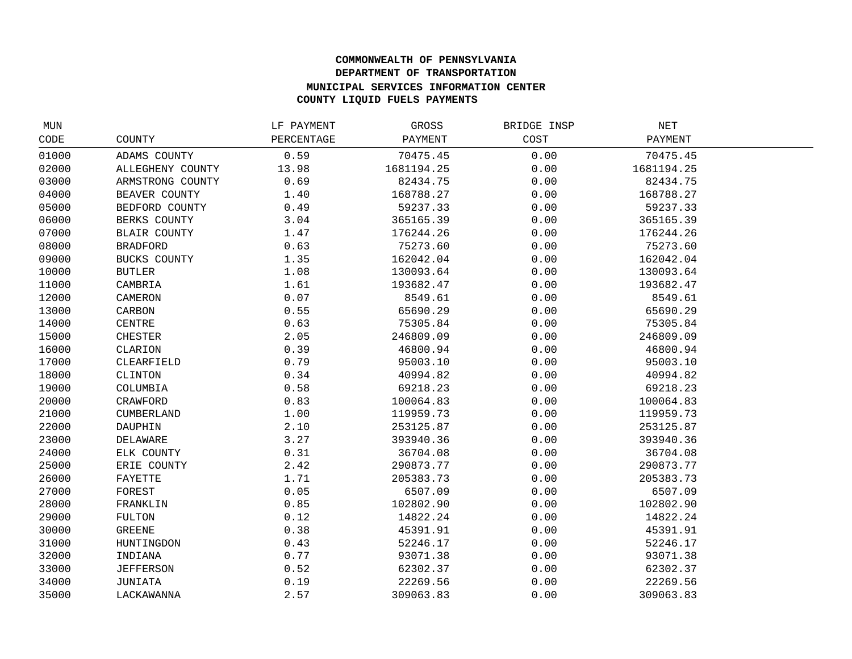## **COMMONWEALTH OF PENNSYLVANIA DEPARTMENT OF TRANSPORTATION MUNICIPAL SERVICES INFORMATION CENTER COUNTY LIQUID FUELS PAYMENTS**

| MUN   |                   | LF PAYMENT | GROSS      | BRIDGE INSP | NET        |  |
|-------|-------------------|------------|------------|-------------|------------|--|
| CODE  | COUNTY            | PERCENTAGE | PAYMENT    | COST        | PAYMENT    |  |
| 01000 | ADAMS COUNTY      | 0.59       | 70475.45   | 0.00        | 70475.45   |  |
| 02000 | ALLEGHENY COUNTY  | 13.98      | 1681194.25 | 0.00        | 1681194.25 |  |
| 03000 | ARMSTRONG COUNTY  | 0.69       | 82434.75   | 0.00        | 82434.75   |  |
| 04000 | BEAVER COUNTY     | 1.40       | 168788.27  | 0.00        | 168788.27  |  |
| 05000 | BEDFORD COUNTY    | 0.49       | 59237.33   | 0.00        | 59237.33   |  |
| 06000 | BERKS COUNTY      | 3.04       | 365165.39  | 0.00        | 365165.39  |  |
| 07000 | BLAIR COUNTY      | 1.47       | 176244.26  | 0.00        | 176244.26  |  |
| 08000 | <b>BRADFORD</b>   | 0.63       | 75273.60   | 0.00        | 75273.60   |  |
| 09000 | BUCKS COUNTY      | 1.35       | 162042.04  | 0.00        | 162042.04  |  |
| 10000 | <b>BUTLER</b>     | 1.08       | 130093.64  | 0.00        | 130093.64  |  |
| 11000 | CAMBRIA           | 1.61       | 193682.47  | 0.00        | 193682.47  |  |
| 12000 | CAMERON           | 0.07       | 8549.61    | 0.00        | 8549.61    |  |
| 13000 | CARBON            | 0.55       | 65690.29   | 0.00        | 65690.29   |  |
| 14000 | CENTRE            | 0.63       | 75305.84   | 0.00        | 75305.84   |  |
| 15000 | <b>CHESTER</b>    | 2.05       | 246809.09  | 0.00        | 246809.09  |  |
| 16000 | CLARION           | 0.39       | 46800.94   | 0.00        | 46800.94   |  |
| 17000 | CLEARFIELD        | 0.79       | 95003.10   | 0.00        | 95003.10   |  |
| 18000 | CLINTON           | 0.34       | 40994.82   | 0.00        | 40994.82   |  |
| 19000 | COLUMBIA          | 0.58       | 69218.23   | 0.00        | 69218.23   |  |
| 20000 | CRAWFORD          | 0.83       | 100064.83  | 0.00        | 100064.83  |  |
| 21000 | <b>CUMBERLAND</b> | 1.00       | 119959.73  | 0.00        | 119959.73  |  |
| 22000 | DAUPHIN           | 2.10       | 253125.87  | 0.00        | 253125.87  |  |
| 23000 | DELAWARE          | 3.27       | 393940.36  | 0.00        | 393940.36  |  |
| 24000 | ELK COUNTY        | 0.31       | 36704.08   | 0.00        | 36704.08   |  |
| 25000 | ERIE COUNTY       | 2.42       | 290873.77  | 0.00        | 290873.77  |  |
| 26000 | FAYETTE           | 1.71       | 205383.73  | 0.00        | 205383.73  |  |
| 27000 | FOREST            | 0.05       | 6507.09    | 0.00        | 6507.09    |  |
| 28000 | FRANKLIN          | 0.85       | 102802.90  | 0.00        | 102802.90  |  |
| 29000 | FULTON            | 0.12       | 14822.24   | 0.00        | 14822.24   |  |
| 30000 | GREENE            | 0.38       | 45391.91   | 0.00        | 45391.91   |  |
| 31000 | HUNTINGDON        | 0.43       | 52246.17   | 0.00        | 52246.17   |  |
| 32000 | INDIANA           | 0.77       | 93071.38   | 0.00        | 93071.38   |  |
| 33000 | <b>JEFFERSON</b>  | 0.52       | 62302.37   | 0.00        | 62302.37   |  |
| 34000 | JUNIATA           | 0.19       | 22269.56   | 0.00        | 22269.56   |  |
| 35000 | LACKAWANNA        | 2.57       | 309063.83  | 0.00        | 309063.83  |  |